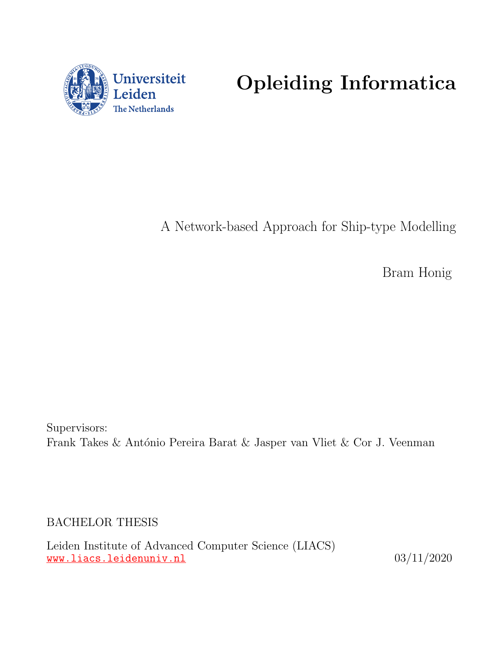

Opleiding Informatica

A Network-based Approach for Ship-type Modelling

Bram Honig

Supervisors: Frank Takes & António Pereira Barat & Jasper van Vliet & Cor J. Veenman

BACHELOR THESIS

Leiden Institute of Advanced Computer Science (LIACS) <www.liacs.leidenuniv.nl>  $03/11/2020$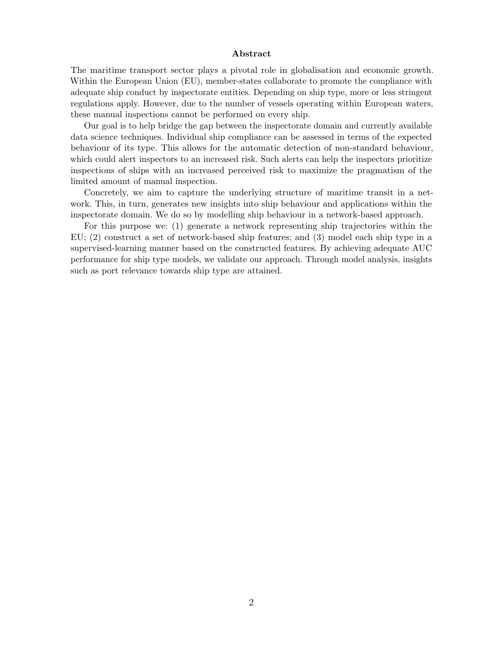#### Abstract

The maritime transport sector plays a pivotal role in globalisation and economic growth. Within the European Union (EU), member-states collaborate to promote the compliance with adequate ship conduct by inspectorate entities. Depending on ship type, more or less stringent regulations apply. However, due to the number of vessels operating within European waters, these manual inspections cannot be performed on every ship.

Our goal is to help bridge the gap between the inspectorate domain and currently available data science techniques. Individual ship compliance can be assessed in terms of the expected behaviour of its type. This allows for the automatic detection of non-standard behaviour, which could alert inspectors to an increased risk. Such alerts can help the inspectors prioritize inspections of ships with an increased perceived risk to maximize the pragmatism of the limited amount of manual inspection.

Concretely, we aim to capture the underlying structure of maritime transit in a network. This, in turn, generates new insights into ship behaviour and applications within the inspectorate domain. We do so by modelling ship behaviour in a network-based approach.

For this purpose we: (1) generate a network representing ship trajectories within the EU; (2) construct a set of network-based ship features; and (3) model each ship type in a supervised-learning manner based on the constructed features. By achieving adequate AUC performance for ship type models, we validate our approach. Through model analysis, insights such as port relevance towards ship type are attained.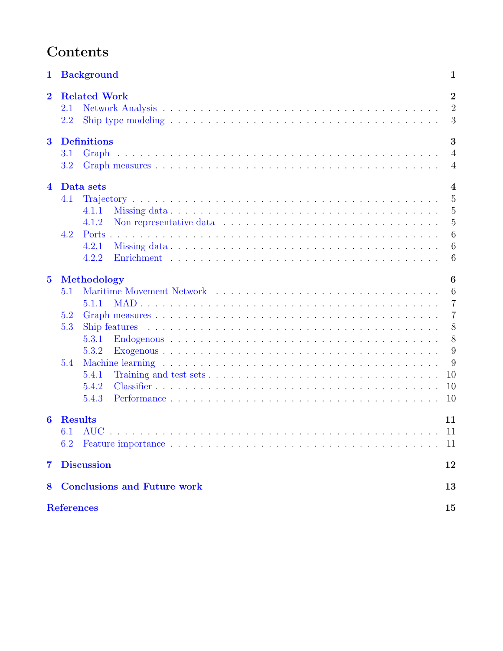# Contents

| $\mathbf{1}$            | <b>Background</b>                                                                                                                             | 1                                       |  |  |  |
|-------------------------|-----------------------------------------------------------------------------------------------------------------------------------------------|-----------------------------------------|--|--|--|
| $\overline{\mathbf{2}}$ | <b>Related Work</b><br>2.1<br>Ship type modeling $\dots \dots \dots \dots \dots \dots \dots \dots \dots \dots \dots \dots \dots \dots$<br>2.2 | $\boldsymbol{2}$<br>$\overline{2}$<br>3 |  |  |  |
| $\bf{3}$                | <b>Definitions</b>                                                                                                                            | 3                                       |  |  |  |
|                         | 3.1<br>Graph                                                                                                                                  | $\overline{4}$                          |  |  |  |
|                         | 3.2                                                                                                                                           | $\overline{4}$                          |  |  |  |
| $\overline{\mathbf{4}}$ | Data sets                                                                                                                                     | $\boldsymbol{4}$                        |  |  |  |
|                         | 4.1                                                                                                                                           | $\overline{5}$                          |  |  |  |
|                         | 4.1.1                                                                                                                                         | 5                                       |  |  |  |
|                         | 4.1.2                                                                                                                                         | $\overline{5}$                          |  |  |  |
|                         | 4.2<br>Ports                                                                                                                                  | 6                                       |  |  |  |
|                         | 4.2.1                                                                                                                                         | 6                                       |  |  |  |
|                         | 4.2.2                                                                                                                                         | 6                                       |  |  |  |
| $\mathbf{5}$            | Methodology                                                                                                                                   | 6                                       |  |  |  |
|                         | 5.1                                                                                                                                           | 6                                       |  |  |  |
|                         | 5.1.1                                                                                                                                         | $\overline{7}$                          |  |  |  |
|                         | 5.2                                                                                                                                           | 7                                       |  |  |  |
|                         | 5.3                                                                                                                                           | 8                                       |  |  |  |
|                         | 5.3.1                                                                                                                                         | 8                                       |  |  |  |
|                         | 5.3.2                                                                                                                                         | 9                                       |  |  |  |
|                         | 5.4                                                                                                                                           | 9                                       |  |  |  |
|                         | 5.4.1                                                                                                                                         | 10                                      |  |  |  |
|                         | 5.4.2                                                                                                                                         | 10                                      |  |  |  |
|                         | 5.4.3                                                                                                                                         | 10                                      |  |  |  |
| 6                       | <b>Results</b>                                                                                                                                | 11                                      |  |  |  |
|                         | 6.1<br><b>AUC</b>                                                                                                                             | 11                                      |  |  |  |
|                         | 6.2                                                                                                                                           | -11                                     |  |  |  |
| $\overline{7}$          | <b>Discussion</b>                                                                                                                             | 12                                      |  |  |  |
| 8                       | <b>Conclusions and Future work</b>                                                                                                            | 13                                      |  |  |  |
|                         | <b>References</b><br>15                                                                                                                       |                                         |  |  |  |
|                         |                                                                                                                                               |                                         |  |  |  |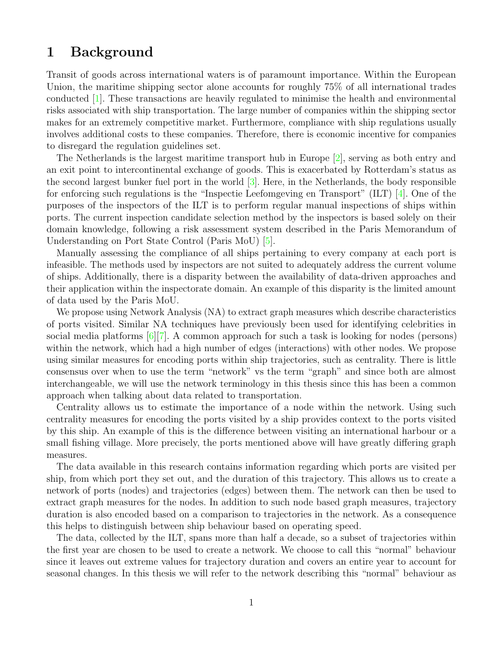# <span id="page-3-0"></span>1 Background

Transit of goods across international waters is of paramount importance. Within the European Union, the maritime shipping sector alone accounts for roughly 75% of all international trades conducted [\[1\]](#page-16-1). These transactions are heavily regulated to minimise the health and environmental risks associated with ship transportation. The large number of companies within the shipping sector makes for an extremely competitive market. Furthermore, compliance with ship regulations usually involves additional costs to these companies. Therefore, there is economic incentive for companies to disregard the regulation guidelines set.

The Netherlands is the largest maritime transport hub in Europe [\[2\]](#page-16-2), serving as both entry and an exit point to intercontinental exchange of goods. This is exacerbated by Rotterdam's status as the second largest bunker fuel port in the world [\[3\]](#page-16-3). Here, in the Netherlands, the body responsible for enforcing such regulations is the "Inspectie Leefomgeving en Transport" (ILT) [\[4\]](#page-16-4). One of the purposes of the inspectors of the ILT is to perform regular manual inspections of ships within ports. The current inspection candidate selection method by the inspectors is based solely on their domain knowledge, following a risk assessment system described in the Paris Memorandum of Understanding on Port State Control (Paris MoU) [\[5\]](#page-16-5).

Manually assessing the compliance of all ships pertaining to every company at each port is infeasible. The methods used by inspectors are not suited to adequately address the current volume of ships. Additionally, there is a disparity between the availability of data-driven approaches and their application within the inspectorate domain. An example of this disparity is the limited amount of data used by the Paris MoU.

We propose using Network Analysis (NA) to extract graph measures which describe characteristics of ports visited. Similar NA techniques have previously been used for identifying celebrities in social media platforms [\[6\]](#page-17-0)[\[7\]](#page-17-1). A common approach for such a task is looking for nodes (persons) within the network, which had a high number of edges (interactions) with other nodes. We propose using similar measures for encoding ports within ship trajectories, such as centrality. There is little consensus over when to use the term "network" vs the term "graph" and since both are almost interchangeable, we will use the network terminology in this thesis since this has been a common approach when talking about data related to transportation.

Centrality allows us to estimate the importance of a node within the network. Using such centrality measures for encoding the ports visited by a ship provides context to the ports visited by this ship. An example of this is the difference between visiting an international harbour or a small fishing village. More precisely, the ports mentioned above will have greatly differing graph measures.

The data available in this research contains information regarding which ports are visited per ship, from which port they set out, and the duration of this trajectory. This allows us to create a network of ports (nodes) and trajectories (edges) between them. The network can then be used to extract graph measures for the nodes. In addition to such node based graph measures, trajectory duration is also encoded based on a comparison to trajectories in the network. As a consequence this helps to distinguish between ship behaviour based on operating speed.

The data, collected by the ILT, spans more than half a decade, so a subset of trajectories within the first year are chosen to be used to create a network. We choose to call this "normal" behaviour since it leaves out extreme values for trajectory duration and covers an entire year to account for seasonal changes. In this thesis we will refer to the network describing this "normal" behaviour as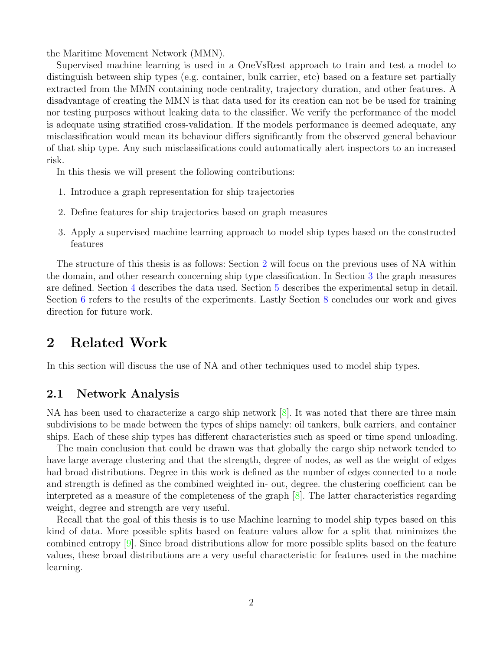the Maritime Movement Network (MMN).

Supervised machine learning is used in a OneVsRest approach to train and test a model to distinguish between ship types (e.g. container, bulk carrier, etc) based on a feature set partially extracted from the MMN containing node centrality, trajectory duration, and other features. A disadvantage of creating the MMN is that data used for its creation can not be be used for training nor testing purposes without leaking data to the classifier. We verify the performance of the model is adequate using stratified cross-validation. If the models performance is deemed adequate, any misclassification would mean its behaviour differs significantly from the observed general behaviour of that ship type. Any such misclassifications could automatically alert inspectors to an increased risk.

In this thesis we will present the following contributions:

- 1. Introduce a graph representation for ship trajectories
- 2. Define features for ship trajectories based on graph measures
- 3. Apply a supervised machine learning approach to model ship types based on the constructed features

The structure of this thesis is as follows: Section [2](#page-4-0) will focus on the previous uses of NA within the domain, and other research concerning ship type classification. In Section [3](#page-5-1) the graph measures are defined. Section [4](#page-6-2) describes the data used. Section [5](#page-8-3) describes the experimental setup in detail. Section [6](#page-13-0) refers to the results of the experiments. Lastly Section [8](#page-15-0) concludes our work and gives direction for future work.

# <span id="page-4-0"></span>2 Related Work

In this section will discuss the use of NA and other techniques used to model ship types.

### <span id="page-4-1"></span>2.1 Network Analysis

NA has been used to characterize a cargo ship network [\[8\]](#page-17-2). It was noted that there are three main subdivisions to be made between the types of ships namely: oil tankers, bulk carriers, and container ships. Each of these ship types has different characteristics such as speed or time spend unloading.

The main conclusion that could be drawn was that globally the cargo ship network tended to have large average clustering and that the strength, degree of nodes, as well as the weight of edges had broad distributions. Degree in this work is defined as the number of edges connected to a node and strength is defined as the combined weighted in- out, degree. the clustering coefficient can be interpreted as a measure of the completeness of the graph [\[8\]](#page-17-2). The latter characteristics regarding weight, degree and strength are very useful.

Recall that the goal of this thesis is to use Machine learning to model ship types based on this kind of data. More possible splits based on feature values allow for a split that minimizes the combined entropy [\[9\]](#page-17-3). Since broad distributions allow for more possible splits based on the feature values, these broad distributions are a very useful characteristic for features used in the machine learning.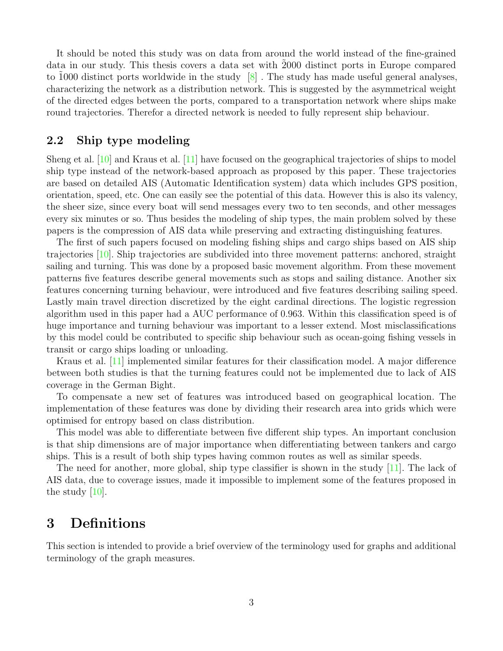It should be noted this study was on data from around the world instead of the fine-grained data in our study. This thesis covers a data set with 2000 distinct ports in Europe compared to 1000 distinct ports worldwide in the study  $\lceil 8 \rceil$ . The study has made useful general analyses, characterizing the network as a distribution network. This is suggested by the asymmetrical weight of the directed edges between the ports, compared to a transportation network where ships make round trajectories. Therefor a directed network is needed to fully represent ship behaviour.

### <span id="page-5-0"></span>2.2 Ship type modeling

Sheng et al. [\[10\]](#page-17-4) and Kraus et al. [\[11\]](#page-17-5) have focused on the geographical trajectories of ships to model ship type instead of the network-based approach as proposed by this paper. These trajectories are based on detailed AIS (Automatic Identification system) data which includes GPS position, orientation, speed, etc. One can easily see the potential of this data. However this is also its valency, the sheer size, since every boat will send messages every two to ten seconds, and other messages every six minutes or so. Thus besides the modeling of ship types, the main problem solved by these papers is the compression of AIS data while preserving and extracting distinguishing features.

The first of such papers focused on modeling fishing ships and cargo ships based on AIS ship trajectories [\[10\]](#page-17-4). Ship trajectories are subdivided into three movement patterns: anchored, straight sailing and turning. This was done by a proposed basic movement algorithm. From these movement patterns five features describe general movements such as stops and sailing distance. Another six features concerning turning behaviour, were introduced and five features describing sailing speed. Lastly main travel direction discretized by the eight cardinal directions. The logistic regression algorithm used in this paper had a AUC performance of 0.963. Within this classification speed is of huge importance and turning behaviour was important to a lesser extend. Most misclassifications by this model could be contributed to specific ship behaviour such as ocean-going fishing vessels in transit or cargo ships loading or unloading.

Kraus et al. [\[11\]](#page-17-5) implemented similar features for their classification model. A major difference between both studies is that the turning features could not be implemented due to lack of AIS coverage in the German Bight.

To compensate a new set of features was introduced based on geographical location. The implementation of these features was done by dividing their research area into grids which were optimised for entropy based on class distribution.

This model was able to differentiate between five different ship types. An important conclusion is that ship dimensions are of major importance when differentiating between tankers and cargo ships. This is a result of both ship types having common routes as well as similar speeds.

The need for another, more global, ship type classifier is shown in the study [\[11\]](#page-17-5). The lack of AIS data, due to coverage issues, made it impossible to implement some of the features proposed in the study [\[10\]](#page-17-4).

# <span id="page-5-1"></span>3 Definitions

This section is intended to provide a brief overview of the terminology used for graphs and additional terminology of the graph measures.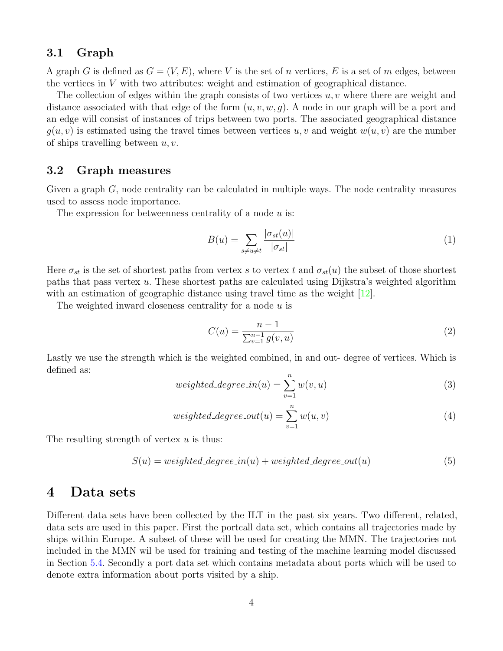### <span id="page-6-0"></span>3.1 Graph

A graph G is defined as  $G = (V, E)$ , where V is the set of n vertices, E is a set of m edges, between the vertices in  $V$  with two attributes: weight and estimation of geographical distance.

The collection of edges within the graph consists of two vertices  $u, v$  where there are weight and distance associated with that edge of the form  $(u, v, w, q)$ . A node in our graph will be a port and an edge will consist of instances of trips between two ports. The associated geographical distance  $q(u, v)$  is estimated using the travel times between vertices u, v and weight  $w(u, v)$  are the number of ships travelling between  $u, v$ .

### <span id="page-6-1"></span>3.2 Graph measures

Given a graph  $G$ , node centrality can be calculated in multiple ways. The node centrality measures used to assess node importance.

The expression for betweenness centrality of a node  $u$  is:

$$
B(u) = \sum_{s \neq u \neq t} \frac{|\sigma_{st}(u)|}{|\sigma_{st}|} \tag{1}
$$

Here  $\sigma_{st}$  is the set of shortest paths from vertex s to vertex t and  $\sigma_{st}(u)$  the subset of those shortest paths that pass vertex u. These shortest paths are calculated using Dijkstra's weighted algorithm with an estimation of geographic distance using travel time as the weight  $[12]$ .

The weighted inward closeness centrality for a node  $u$  is

$$
C(u) = \frac{n-1}{\sum_{v=1}^{n-1} g(v, u)}
$$
\n(2)

Lastly we use the strength which is the weighted combined, in and out- degree of vertices. Which is defined as:

$$
weighted\_degree\_in(u) = \sum_{v=1}^{n} w(v, u)
$$
\n(3)

$$
weighted\_degree\_out(u) = \sum_{v=1}^{n} w(u, v)
$$
\n
$$
\tag{4}
$$

The resulting strength of vertex  $u$  is thus:

$$
S(u) = weighted\_degree\_in(u) + weighted\_degree\_out(u)
$$
\n(5)

# <span id="page-6-2"></span>4 Data sets

Different data sets have been collected by the ILT in the past six years. Two different, related, data sets are used in this paper. First the portcall data set, which contains all trajectories made by ships within Europe. A subset of these will be used for creating the MMN. The trajectories not included in the MMN wil be used for training and testing of the machine learning model discussed in Section [5.4.](#page-11-1) Secondly a port data set which contains metadata about ports which will be used to denote extra information about ports visited by a ship.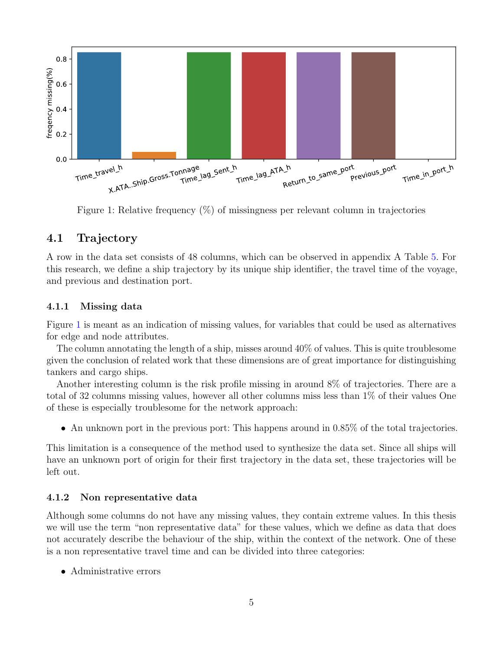

<span id="page-7-3"></span>Figure 1: Relative frequency (%) of missingness per relevant column in trajectories

### <span id="page-7-0"></span>4.1 Trajectory

A row in the data set consists of 48 columns, which can be observed in appendix A Table [5.](#page-18-0) For this research, we define a ship trajectory by its unique ship identifier, the travel time of the voyage, and previous and destination port.

#### <span id="page-7-1"></span>4.1.1 Missing data

Figure [1](#page-7-3) is meant as an indication of missing values, for variables that could be used as alternatives for edge and node attributes.

The column annotating the length of a ship, misses around 40% of values. This is quite troublesome given the conclusion of related work that these dimensions are of great importance for distinguishing tankers and cargo ships.

Another interesting column is the risk profile missing in around 8% of trajectories. There are a total of 32 columns missing values, however all other columns miss less than 1% of their values One of these is especially troublesome for the network approach:

• An unknown port in the previous port: This happens around in 0.85% of the total trajectories.

This limitation is a consequence of the method used to synthesize the data set. Since all ships will have an unknown port of origin for their first trajectory in the data set, these trajectories will be left out.

#### <span id="page-7-2"></span>4.1.2 Non representative data

Although some columns do not have any missing values, they contain extreme values. In this thesis we will use the term "non representative data" for these values, which we define as data that does not accurately describe the behaviour of the ship, within the context of the network. One of these is a non representative travel time and can be divided into three categories:

• Administrative errors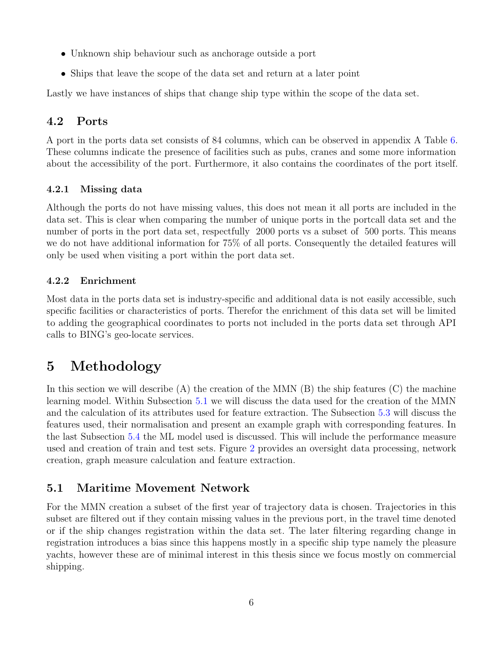- Unknown ship behaviour such as anchorage outside a port
- Ships that leave the scope of the data set and return at a later point

Lastly we have instances of ships that change ship type within the scope of the data set.

# <span id="page-8-0"></span>4.2 Ports

A port in the ports data set consists of 84 columns, which can be observed in appendix A Table [6.](#page-19-0) These columns indicate the presence of facilities such as pubs, cranes and some more information about the accessibility of the port. Furthermore, it also contains the coordinates of the port itself.

### <span id="page-8-1"></span>4.2.1 Missing data

Although the ports do not have missing values, this does not mean it all ports are included in the data set. This is clear when comparing the number of unique ports in the portcall data set and the number of ports in the port data set, respectfully 2000 ports vs a subset of 500 ports. This means we do not have additional information for 75% of all ports. Consequently the detailed features will only be used when visiting a port within the port data set.

## <span id="page-8-2"></span>4.2.2 Enrichment

Most data in the ports data set is industry-specific and additional data is not easily accessible, such specific facilities or characteristics of ports. Therefor the enrichment of this data set will be limited to adding the geographical coordinates to ports not included in the ports data set through API calls to BING's geo-locate services.

# <span id="page-8-3"></span>5 Methodology

In this section we will describe  $(A)$  the creation of the MMN  $(B)$  the ship features  $(C)$  the machine learning model. Within Subsection [5.1](#page-8-4) we will discuss the data used for the creation of the MMN and the calculation of its attributes used for feature extraction. The Subsection [5.3](#page-10-0) will discuss the features used, their normalisation and present an example graph with corresponding features. In the last Subsection [5.4](#page-11-1) the ML model used is discussed. This will include the performance measure used and creation of train and test sets. Figure [2](#page-9-2) provides an oversight data processing, network creation, graph measure calculation and feature extraction.

# <span id="page-8-4"></span>5.1 Maritime Movement Network

For the MMN creation a subset of the first year of trajectory data is chosen. Trajectories in this subset are filtered out if they contain missing values in the previous port, in the travel time denoted or if the ship changes registration within the data set. The later filtering regarding change in registration introduces a bias since this happens mostly in a specific ship type namely the pleasure yachts, however these are of minimal interest in this thesis since we focus mostly on commercial shipping.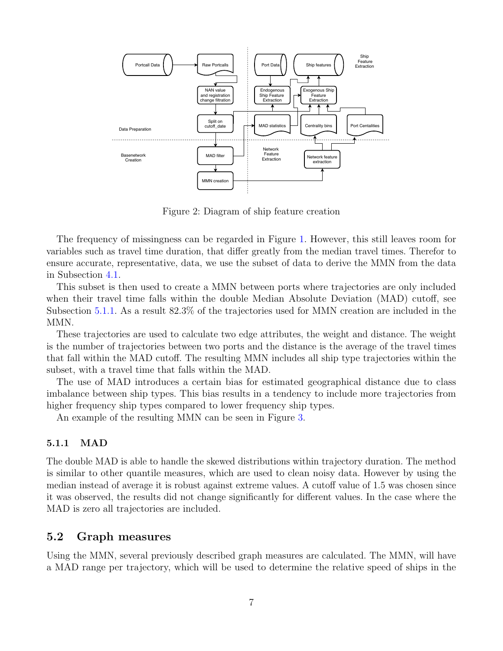

<span id="page-9-2"></span>Figure 2: Diagram of ship feature creation

The frequency of missingness can be regarded in Figure [1.](#page-7-3) However, this still leaves room for variables such as travel time duration, that differ greatly from the median travel times. Therefor to ensure accurate, representative, data, we use the subset of data to derive the MMN from the data in Subsection [4.1.](#page-7-0)

This subset is then used to create a MMN between ports where trajectories are only included when their travel time falls within the double Median Absolute Deviation (MAD) cutoff, see Subsection [5.1.1.](#page-9-0) As a result 82.3% of the trajectories used for MMN creation are included in the MM<sub>N</sub>.

These trajectories are used to calculate two edge attributes, the weight and distance. The weight is the number of trajectories between two ports and the distance is the average of the travel times that fall within the MAD cutoff. The resulting MMN includes all ship type trajectories within the subset, with a travel time that falls within the MAD.

The use of MAD introduces a certain bias for estimated geographical distance due to class imbalance between ship types. This bias results in a tendency to include more trajectories from higher frequency ship types compared to lower frequency ship types.

An example of the resulting MMN can be seen in Figure [3.](#page-10-2)

#### <span id="page-9-0"></span>5.1.1 MAD

The double MAD is able to handle the skewed distributions within trajectory duration. The method is similar to other quantile measures, which are used to clean noisy data. However by using the median instead of average it is robust against extreme values. A cutoff value of 1.5 was chosen since it was observed, the results did not change significantly for different values. In the case where the MAD is zero all trajectories are included.

### <span id="page-9-1"></span>5.2 Graph measures

Using the MMN, several previously described graph measures are calculated. The MMN, will have a MAD range per trajectory, which will be used to determine the relative speed of ships in the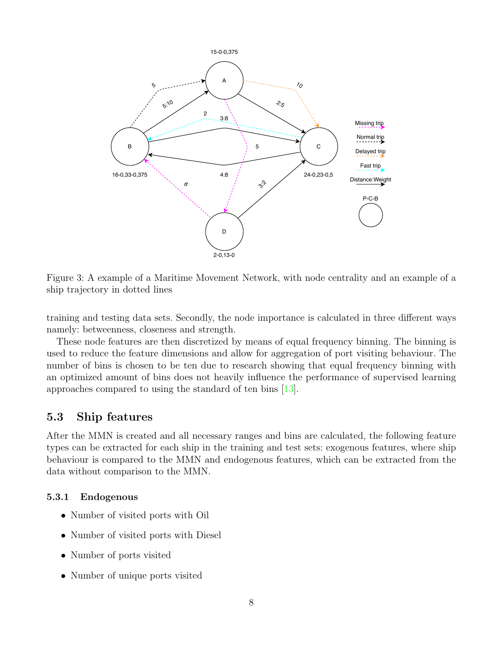

<span id="page-10-2"></span>Figure 3: A example of a Maritime Movement Network, with node centrality and an example of a ship trajectory in dotted lines

training and testing data sets. Secondly, the node importance is calculated in three different ways namely: betweenness, closeness and strength.

These node features are then discretized by means of equal frequency binning. The binning is used to reduce the feature dimensions and allow for aggregation of port visiting behaviour. The number of bins is chosen to be ten due to research showing that equal frequency binning with an optimized amount of bins does not heavily influence the performance of supervised learning approaches compared to using the standard of ten bins [\[13\]](#page-17-7).

## <span id="page-10-0"></span>5.3 Ship features

After the MMN is created and all necessary ranges and bins are calculated, the following feature types can be extracted for each ship in the training and test sets: exogenous features, where ship behaviour is compared to the MMN and endogenous features, which can be extracted from the data without comparison to the MMN.

#### <span id="page-10-1"></span>5.3.1 Endogenous

- Number of visited ports with Oil
- Number of visited ports with Diesel
- Number of ports visited
- Number of unique ports visited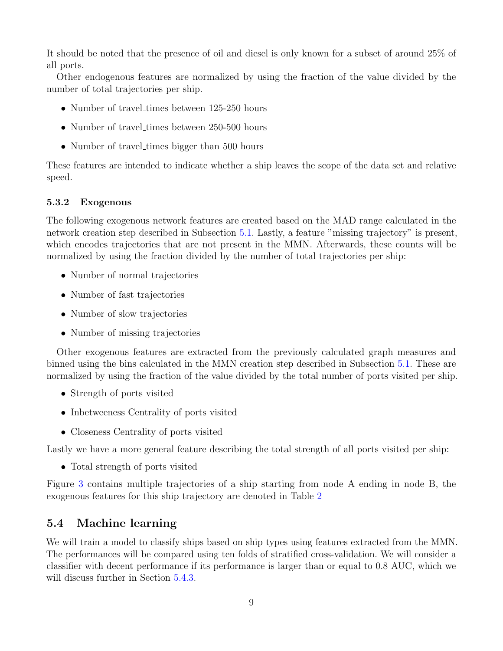It should be noted that the presence of oil and diesel is only known for a subset of around 25% of all ports.

Other endogenous features are normalized by using the fraction of the value divided by the number of total trajectories per ship.

- Number of travel-times between  $125-250$  hours
- Number of travel\_times between 250-500 hours
- Number of travel times bigger than 500 hours

These features are intended to indicate whether a ship leaves the scope of the data set and relative speed.

### <span id="page-11-0"></span>5.3.2 Exogenous

The following exogenous network features are created based on the MAD range calculated in the network creation step described in Subsection [5.1.](#page-8-4) Lastly, a feature "missing trajectory" is present, which encodes trajectories that are not present in the MMN. Afterwards, these counts will be normalized by using the fraction divided by the number of total trajectories per ship:

- Number of normal trajectories
- Number of fast trajectories
- Number of slow trajectories
- Number of missing trajectories

Other exogenous features are extracted from the previously calculated graph measures and binned using the bins calculated in the MMN creation step described in Subsection [5.1.](#page-8-4) These are normalized by using the fraction of the value divided by the total number of ports visited per ship.

- Strength of ports visited
- Inbetweeness Centrality of ports visited
- Closeness Centrality of ports visited

Lastly we have a more general feature describing the total strength of all ports visited per ship:

• Total strength of ports visited

Figure [3](#page-10-2) contains multiple trajectories of a ship starting from node A ending in node B, the exogenous features for this ship trajectory are denoted in Table [2](#page-12-3)

# <span id="page-11-1"></span>5.4 Machine learning

We will train a model to classify ships based on ship types using features extracted from the MMN. The performances will be compared using ten folds of stratified cross-validation. We will consider a classifier with decent performance if its performance is larger than or equal to 0.8 AUC, which we will discuss further in Section  $5.4.3$ .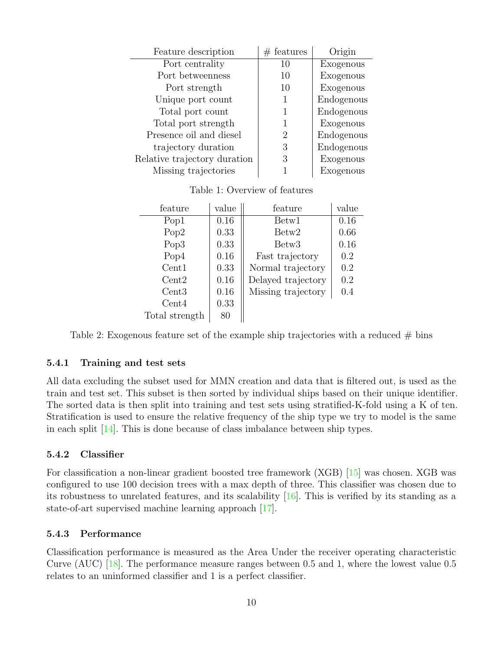| Feature description          | $#$ features   | Origin     |
|------------------------------|----------------|------------|
| Port centrality              | 10             | Exogenous  |
| Port betweenness             | 10             | Exogenous  |
| Port strength                | 10             | Exogenous  |
| Unique port count            |                | Endogenous |
| Total port count             |                | Endogenous |
| Total port strength          |                | Exogenous  |
| Presence oil and diesel      | $\overline{2}$ | Endogenous |
| trajectory duration          | 3              | Endogenous |
| Relative trajectory duration | 3              | Exogenous  |
| Missing trajectories         |                | Exogenous  |

Table 1: Overview of features

| feature          | value | feature            | value |
|------------------|-------|--------------------|-------|
| Pop1             | 0.16  | Betw1              | 0.16  |
| Pop2             | 0.33  | Betw <sub>2</sub>  | 0.66  |
| Pop <sub>3</sub> | 0.33  | Betw <sub>3</sub>  | 0.16  |
| Pop4             | 0.16  | Fast trajectory    | 0.2   |
| Cent1            | 0.33  | Normal trajectory  | 0.2   |
| Cent2            | 0.16  | Delayed trajectory | 0.2   |
| Cent3            | 0.16  | Missing trajectory | 0.4   |
| Cent4            | 0.33  |                    |       |
| Total strength   | 80    |                    |       |

<span id="page-12-3"></span>Table 2: Exogenous feature set of the example ship trajectories with a reduced  $\#$  bins

#### <span id="page-12-0"></span>5.4.1 Training and test sets

All data excluding the subset used for MMN creation and data that is filtered out, is used as the train and test set. This subset is then sorted by individual ships based on their unique identifier. The sorted data is then split into training and test sets using stratified-K-fold using a K of ten. Stratification is used to ensure the relative frequency of the ship type we try to model is the same in each split [\[14\]](#page-17-8). This is done because of class imbalance between ship types.

### <span id="page-12-1"></span>5.4.2 Classifier

For classification a non-linear gradient boosted tree framework (XGB) [\[15\]](#page-17-9) was chosen. XGB was configured to use 100 decision trees with a max depth of three. This classifier was chosen due to its robustness to unrelated features, and its scalability [\[16\]](#page-17-10). This is verified by its standing as a state-of-art supervised machine learning approach [\[17\]](#page-17-11).

### <span id="page-12-2"></span>5.4.3 Performance

Classification performance is measured as the Area Under the receiver operating characteristic Curve (AUC) [\[18\]](#page-17-12). The performance measure ranges between 0.5 and 1, where the lowest value 0.5 relates to an uninformed classifier and 1 is a perfect classifier.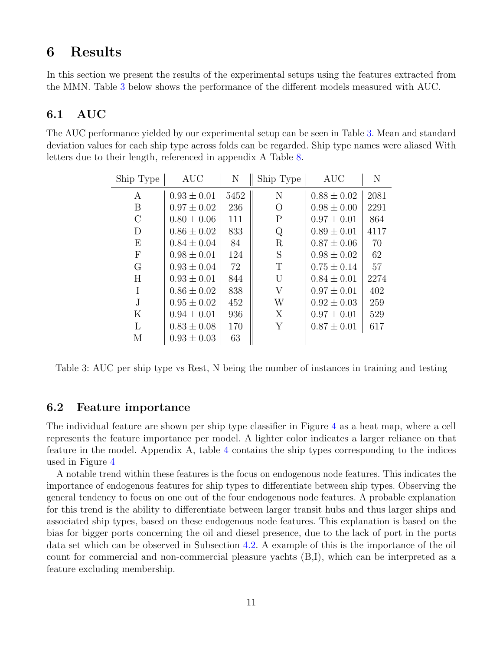# <span id="page-13-0"></span>6 Results

In this section we present the results of the experimental setups using the features extracted from the MMN. Table [3](#page-13-3) below shows the performance of the different models measured with AUC.

## <span id="page-13-1"></span>6.1 AUC

The AUC performance yielded by our experimental setup can be seen in Table [3.](#page-13-3) Mean and standard deviation values for each ship type across folds can be regarded. Ship type names were aliased With letters due to their length, referenced in appendix A Table [8.](#page-17-13)

| Ship Type    | <b>AUC</b>      | N    | Ship Type   | <b>AUC</b>      | N    |
|--------------|-----------------|------|-------------|-----------------|------|
| А            | $0.93 \pm 0.01$ | 5452 | N           | $0.88 \pm 0.02$ | 2081 |
| B            | $0.97 \pm 0.02$ | 236  | О           | $0.98 \pm 0.00$ | 2291 |
| $\rm C$      | $0.80 \pm 0.06$ | 111  | $\mathbf P$ | $0.97 \pm 0.01$ | 864  |
| D            | $0.86 \pm 0.02$ | 833  | Q           | $0.89 \pm 0.01$ | 4117 |
| Ε            | $0.84 \pm 0.04$ | 84   | R           | $0.87 \pm 0.06$ | 70   |
| $\mathbf{F}$ | $0.98 \pm 0.01$ | 124  | S           | $0.98 \pm 0.02$ | 62   |
| G            | $0.93 \pm 0.04$ | 72   | Т           | $0.75 \pm 0.14$ | 57   |
| H            | $0.93 \pm 0.01$ | 844  | U           | $0.84 \pm 0.01$ | 2274 |
|              | $0.86 \pm 0.02$ | 838  | V           | $0.97 \pm 0.01$ | 402  |
| J.           | $0.95 \pm 0.02$ | 452  | W           | $0.92 \pm 0.03$ | 259  |
| Κ            | $0.94 \pm 0.01$ | 936  | X           | $0.97 \pm 0.01$ | 529  |
| L            | $0.83 \pm 0.08$ | 170  | Y           | $0.87 \pm 0.01$ | 617  |
| М            | $0.93 \pm 0.03$ | 63   |             |                 |      |

<span id="page-13-3"></span>Table 3: AUC per ship type vs Rest, N being the number of instances in training and testing

### <span id="page-13-2"></span>6.2 Feature importance

The individual feature are shown per ship type classifier in Figure [4](#page-14-1) as a heat map, where a cell represents the feature importance per model. A lighter color indicates a larger reliance on that feature in the model. Appendix A, table [4](#page-18-1) contains the ship types corresponding to the indices used in Figure [4](#page-14-1)

A notable trend within these features is the focus on endogenous node features. This indicates the importance of endogenous features for ship types to differentiate between ship types. Observing the general tendency to focus on one out of the four endogenous node features. A probable explanation for this trend is the ability to differentiate between larger transit hubs and thus larger ships and associated ship types, based on these endogenous node features. This explanation is based on the bias for bigger ports concerning the oil and diesel presence, due to the lack of port in the ports data set which can be observed in Subsection [4.2.](#page-8-0) A example of this is the importance of the oil count for commercial and non-commercial pleasure yachts (B,I), which can be interpreted as a feature excluding membership.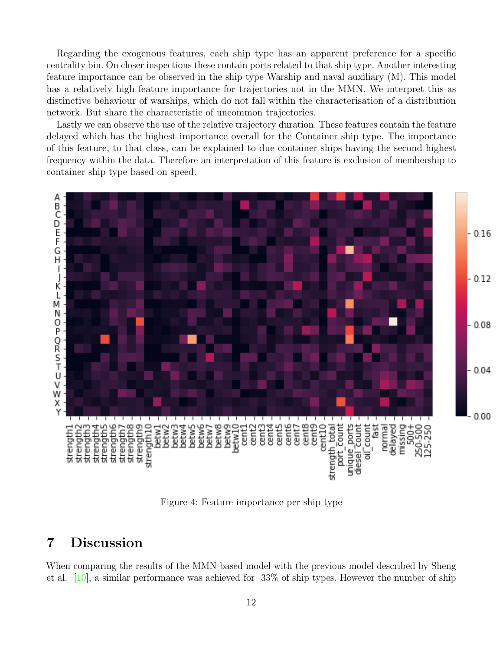Regarding the exogenous features, each ship type has an apparent preference for a specific centrality bin. On closer inspections these contain ports related to that ship type. Another interesting feature importance can be observed in the ship type Warship and naval auxiliary (M). This model has a relatively high feature importance for trajectories not in the MMN. We interpret this as distinctive behaviour of warships, which do not fall within the characterisation of a distribution network. But share the characteristic of uncommon trajectories.

Lastly we can observe the use of the relative trajectory duration. These features contain the feature delayed which has the highest importance overall for the Container ship type. The importance of this feature, to that class, can be explained to due container ships having the second highest frequency within the data. Therefore an interpretation of this feature is exclusion of membership to container ship type based on speed.



<span id="page-14-1"></span>Figure 4: Feature importance per ship type

# <span id="page-14-0"></span>7 Discussion

When comparing the results of the MMN based model with the previous model described by Sheng et al. [\[10\]](#page-17-4), a similar performance was achieved for 33% of ship types. However the number of ship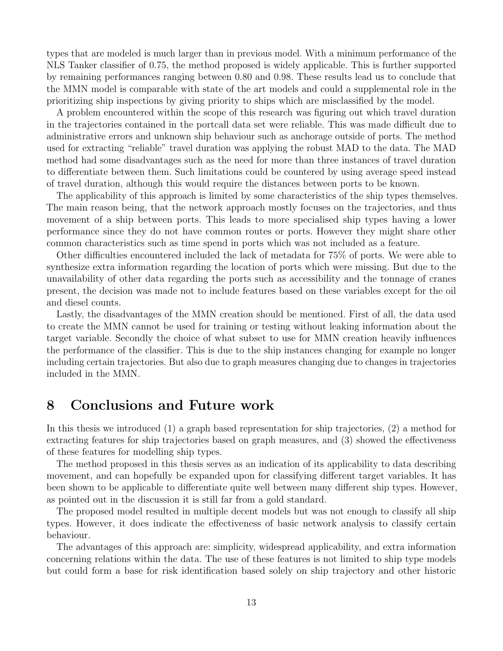types that are modeled is much larger than in previous model. With a minimum performance of the NLS Tanker classifier of 0.75, the method proposed is widely applicable. This is further supported by remaining performances ranging between 0.80 and 0.98. These results lead us to conclude that the MMN model is comparable with state of the art models and could a supplemental role in the prioritizing ship inspections by giving priority to ships which are misclassified by the model.

A problem encountered within the scope of this research was figuring out which travel duration in the trajectories contained in the portcall data set were reliable. This was made difficult due to administrative errors and unknown ship behaviour such as anchorage outside of ports. The method used for extracting "reliable" travel duration was applying the robust MAD to the data. The MAD method had some disadvantages such as the need for more than three instances of travel duration to differentiate between them. Such limitations could be countered by using average speed instead of travel duration, although this would require the distances between ports to be known.

The applicability of this approach is limited by some characteristics of the ship types themselves. The main reason being, that the network approach mostly focuses on the trajectories, and thus movement of a ship between ports. This leads to more specialised ship types having a lower performance since they do not have common routes or ports. However they might share other common characteristics such as time spend in ports which was not included as a feature.

Other difficulties encountered included the lack of metadata for 75% of ports. We were able to synthesize extra information regarding the location of ports which were missing. But due to the unavailability of other data regarding the ports such as accessibility and the tonnage of cranes present, the decision was made not to include features based on these variables except for the oil and diesel counts.

Lastly, the disadvantages of the MMN creation should be mentioned. First of all, the data used to create the MMN cannot be used for training or testing without leaking information about the target variable. Secondly the choice of what subset to use for MMN creation heavily influences the performance of the classifier. This is due to the ship instances changing for example no longer including certain trajectories. But also due to graph measures changing due to changes in trajectories included in the MMN.

# <span id="page-15-0"></span>8 Conclusions and Future work

In this thesis we introduced (1) a graph based representation for ship trajectories, (2) a method for extracting features for ship trajectories based on graph measures, and (3) showed the effectiveness of these features for modelling ship types.

The method proposed in this thesis serves as an indication of its applicability to data describing movement, and can hopefully be expanded upon for classifying different target variables. It has been shown to be applicable to differentiate quite well between many different ship types. However, as pointed out in the discussion it is still far from a gold standard.

The proposed model resulted in multiple decent models but was not enough to classify all ship types. However, it does indicate the effectiveness of basic network analysis to classify certain behaviour.

The advantages of this approach are: simplicity, widespread applicability, and extra information concerning relations within the data. The use of these features is not limited to ship type models but could form a base for risk identification based solely on ship trajectory and other historic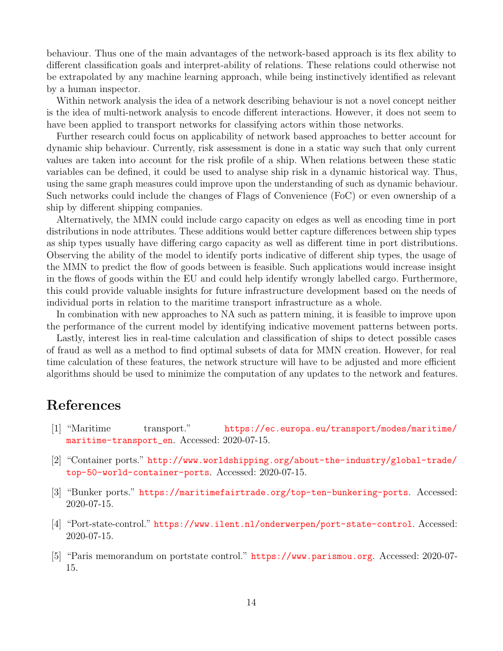behaviour. Thus one of the main advantages of the network-based approach is its flex ability to different classification goals and interpret-ability of relations. These relations could otherwise not be extrapolated by any machine learning approach, while being instinctively identified as relevant by a human inspector.

Within network analysis the idea of a network describing behaviour is not a novel concept neither is the idea of multi-network analysis to encode different interactions. However, it does not seem to have been applied to transport networks for classifying actors within those networks.

Further research could focus on applicability of network based approaches to better account for dynamic ship behaviour. Currently, risk assessment is done in a static way such that only current values are taken into account for the risk profile of a ship. When relations between these static variables can be defined, it could be used to analyse ship risk in a dynamic historical way. Thus, using the same graph measures could improve upon the understanding of such as dynamic behaviour. Such networks could include the changes of Flags of Convenience (FoC) or even ownership of a ship by different shipping companies.

Alternatively, the MMN could include cargo capacity on edges as well as encoding time in port distributions in node attributes. These additions would better capture differences between ship types as ship types usually have differing cargo capacity as well as different time in port distributions. Observing the ability of the model to identify ports indicative of different ship types, the usage of the MMN to predict the flow of goods between is feasible. Such applications would increase insight in the flows of goods within the EU and could help identify wrongly labelled cargo. Furthermore, this could provide valuable insights for future infrastructure development based on the needs of individual ports in relation to the maritime transport infrastructure as a whole.

In combination with new approaches to NA such as pattern mining, it is feasible to improve upon the performance of the current model by identifying indicative movement patterns between ports.

Lastly, interest lies in real-time calculation and classification of ships to detect possible cases of fraud as well as a method to find optimal subsets of data for MMN creation. However, for real time calculation of these features, the network structure will have to be adjusted and more efficient algorithms should be used to minimize the computation of any updates to the network and features.

# <span id="page-16-0"></span>References

- <span id="page-16-1"></span>[1] "Maritime transport." [https://ec.europa.eu/transport/modes/maritime/](https://ec.europa.eu/transport/modes/maritime/maritime-transport_en) [maritime-transport\\_en](https://ec.europa.eu/transport/modes/maritime/maritime-transport_en). Accessed: 2020-07-15.
- <span id="page-16-2"></span>[2] "Container ports." [http://www.worldshipping.org/about-the-industry/global-trade/](http://www.worldshipping.org/about-the-industry/global-trade/top-50-world-container-ports) [top-50-world-container-ports](http://www.worldshipping.org/about-the-industry/global-trade/top-50-world-container-ports). Accessed: 2020-07-15.
- <span id="page-16-3"></span>[3] "Bunker ports." <https://maritimefairtrade.org/top-ten-bunkering-ports>. Accessed: 2020-07-15.
- <span id="page-16-4"></span>[4] "Port-state-control." <https://www.ilent.nl/onderwerpen/port-state-control>. Accessed: 2020-07-15.
- <span id="page-16-5"></span>[5] "Paris memorandum on portstate control." <https://www.parismou.org>. Accessed: 2020-07- 15.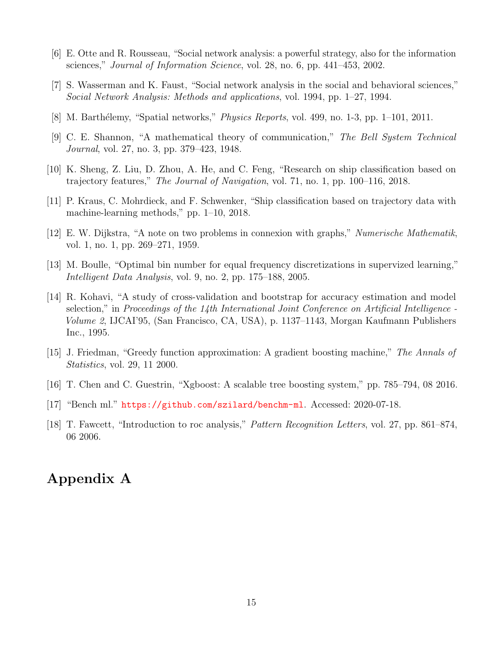- <span id="page-17-0"></span>[6] E. Otte and R. Rousseau, "Social network analysis: a powerful strategy, also for the information sciences," Journal of Information Science, vol. 28, no. 6, pp. 441–453, 2002.
- <span id="page-17-1"></span>[7] S. Wasserman and K. Faust, "Social network analysis in the social and behavioral sciences," Social Network Analysis: Methods and applications, vol. 1994, pp. 1–27, 1994.
- <span id="page-17-2"></span>[8] M. Barthélemy, "Spatial networks," *Physics Reports*, vol. 499, no. 1-3, pp. 1–101, 2011.
- <span id="page-17-3"></span>[9] C. E. Shannon, "A mathematical theory of communication," The Bell System Technical Journal, vol. 27, no. 3, pp. 379–423, 1948.
- <span id="page-17-4"></span>[10] K. Sheng, Z. Liu, D. Zhou, A. He, and C. Feng, "Research on ship classification based on trajectory features," The Journal of Navigation, vol. 71, no. 1, pp. 100–116, 2018.
- <span id="page-17-5"></span>[11] P. Kraus, C. Mohrdieck, and F. Schwenker, "Ship classification based on trajectory data with machine-learning methods," pp. 1–10, 2018.
- <span id="page-17-6"></span>[12] E. W. Dijkstra, "A note on two problems in connexion with graphs," Numerische Mathematik, vol. 1, no. 1, pp. 269–271, 1959.
- <span id="page-17-7"></span>[13] M. Boulle, "Optimal bin number for equal frequency discretizations in supervized learning," Intelligent Data Analysis, vol. 9, no. 2, pp. 175–188, 2005.
- <span id="page-17-8"></span>[14] R. Kohavi, "A study of cross-validation and bootstrap for accuracy estimation and model selection," in Proceedings of the 14th International Joint Conference on Artificial Intelligence - Volume 2, IJCAI'95, (San Francisco, CA, USA), p. 1137–1143, Morgan Kaufmann Publishers Inc., 1995.
- <span id="page-17-9"></span>[15] J. Friedman, "Greedy function approximation: A gradient boosting machine," The Annals of Statistics, vol. 29, 11 2000.
- <span id="page-17-10"></span>[16] T. Chen and C. Guestrin, "Xgboost: A scalable tree boosting system," pp. 785–794, 08 2016.
- <span id="page-17-11"></span>[17] "Bench ml." <https://github.com/szilard/benchm-ml>. Accessed: 2020-07-18.
- <span id="page-17-12"></span>[18] T. Fawcett, "Introduction to roc analysis," Pattern Recognition Letters, vol. 27, pp. 861–874, 06 2006.

# <span id="page-17-13"></span>Appendix A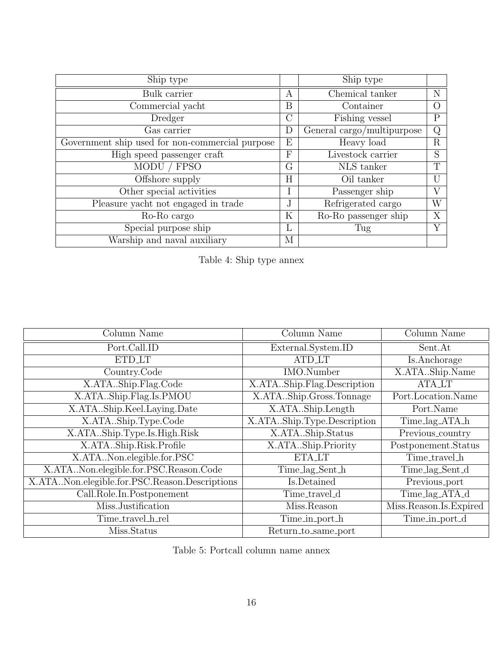| Ship type                                       |               | Ship type                  |                  |
|-------------------------------------------------|---------------|----------------------------|------------------|
| Bulk carrier                                    | А             | Chemical tanker            | N                |
| Commercial yacht                                | В             | Container                  | $\left( \right)$ |
| Dredger                                         | $\mathcal{C}$ | Fishing vessel             | $\mathbf P$      |
| Gas carrier                                     | D             | General cargo/multipurpose | Q                |
| Government ship used for non-commercial purpose | Ε             | Heavy load                 | R                |
| High speed passenger craft                      | F             | Livestock carrier          | S                |
| MODU / FPSO                                     | G             | NLS tanker                 | $\mathbf T$      |
| Offshore supply                                 | H             | Oil tanker                 |                  |
| Other special activities                        | Ι             | Passenger ship             |                  |
| Pleasure yacht not engaged in trade             | J.            | Refrigerated cargo         | W                |
| Ro-Ro cargo                                     | $\rm K$       | Ro-Ro passenger ship       | X                |
| Special purpose ship                            | L             | Tug                        | Y                |
| Warship and naval auxiliary                     | М             |                            |                  |

<span id="page-18-1"></span>

| Table 4: Ship type annex |  |  |  |
|--------------------------|--|--|--|
|--------------------------|--|--|--|

| Column Name                                   | Column Name                | Column Name            |
|-----------------------------------------------|----------------------------|------------------------|
| Port.Call.ID                                  | External.System.ID         | Sent.At                |
| <b>ETD_LT</b>                                 | <b>ATD_LT</b>              | Is.Anchorage           |
| Country.Code                                  | IMO.Number                 | X.ATAShip.Name         |
| X.ATAShip.Flag.Code                           | X.ATAShip.Flag.Description | <b>ATA_LT</b>          |
| X.ATAShip.Flag.Is.PMOU                        | X.ATAShip.Gross.Tonnage    | Port.Location.Name     |
| X.ATAShip.Keel.Laying.Date                    | X.ATAShip.Length           | Port.Name              |
| X.ATAShip.Type.Code                           | X.ATAShip.Type.Description | Time_lag_ATA_h         |
| X.ATAShip.Type.Is.High.Risk                   | X.ATAShip.Status           | Previous_country       |
| X.ATAShip.Risk.Profile                        | X.ATAShip.Priority         | Postponement.Status    |
| X.ATANon.elegible.for.PSC                     | ETA_LT                     | Time_travel_h          |
| X.ATANon.elegible.for.PSC.Reason.Code         | Time_lag_Sent_h            | Time_lag_Sent_d        |
| X.ATANon.elegible.for.PSC.Reason.Descriptions | Is.Detained                | Previous_port          |
| Call.Role.In.Postponement                     | Time_travel_d              | Time_lag_ATA_d         |
| Miss.Justification                            | Miss.Reason                | Miss.Reason.Is.Expired |
| Time_travel_h_rel                             | Time_in_port_h             | Time_in_port_d         |
| Miss.Status                                   | Return_to_same_port        |                        |

<span id="page-18-0"></span>Table 5: Portcall column name annex